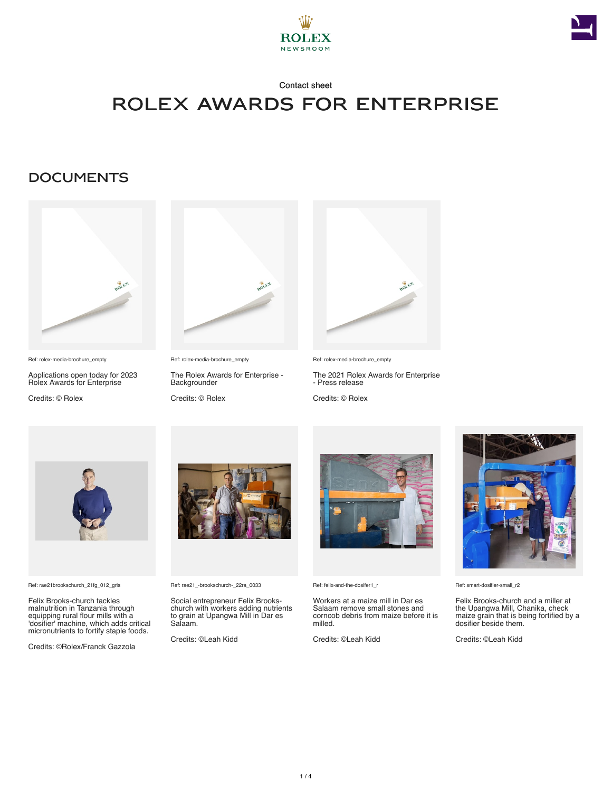



# ROLEX AWARDS FOR ENTERPRISE

### **DOCUMENTS**



Ref: rolex-media-brochure\_empty

Applications open today for 2023 Rolex Awards for Enterprise

Credits: © Rolex



Ref: rolex-media-brochure\_empty

The Rolex Awards for Enterprise - **Backgrounder** 

Credits: © Rolex



Ref: rolex-media-brochure\_empty

The 2021 Rolex Awards for Enterprise - Press release

Credits: © Rolex



Ref: rae21brookschurch\_21fg\_012\_gris

Felix Brooks-church tackles malnutrition in Tanzania through equipping rural flour mills with a 'dosifier' machine, which adds critical micronutrients to fortify staple foods.

Credits: ©Rolex/Franck Gazzola



Ref: rae21\_-brookschurch-\_22ra\_0033

Social entrepreneur Felix Brookschurch with workers adding nutrients to grain at Upangwa Mill in Dar es Salaam.

Credits: ©Leah Kidd



Ref: felix-and-the-dosifer1\_r

Workers at a maize mill in Dar es Salaam remove small stones and corncob debris from maize before it is milled.

Credits: ©Leah Kidd



Ref: smart-dosifier-small\_r2

Felix Brooks-church and a miller at the Upangwa Mill, Chanika, check maize grain that is being fortified by a dosifier beside them.

Credits: ©Leah Kidd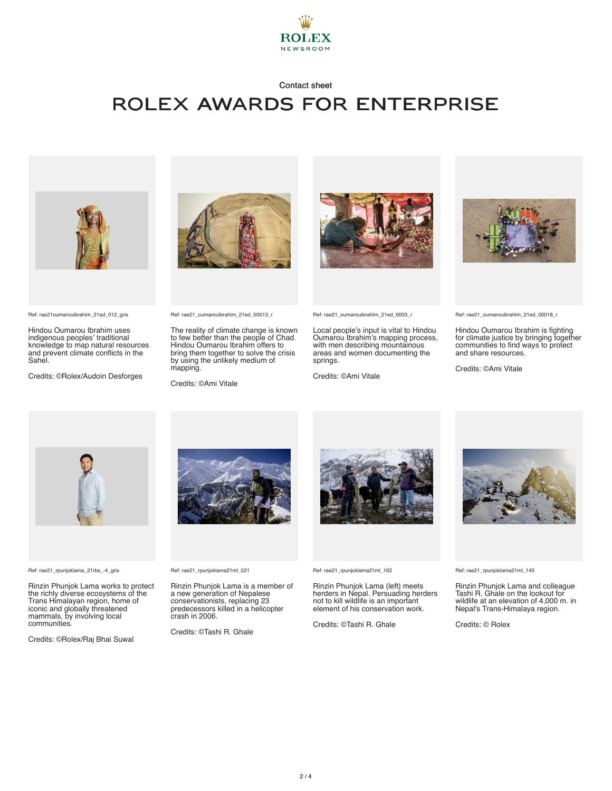

## ROLEX AWARDS FOR ENTERPRISE



Ref: rae21oumarouibrahim\_21ad\_012\_gris

Hindou Oumarou Ibrahim uses indigenous peoples' traditional knowledge to map natural resources and prevent climate conflicts in the Sahel.

Credits: ©Rolex/Audoin Desforges



Ref: rae21\_oumarouibrahim\_21ed\_00013\_r

The reality of climate change is known to few better than the people of Chad. Hindou Oumarou Ibrahim offers to bring them together to solve the crisis by using the unlikely medium of mapping.

Credits: ©Ami Vitale



Ref: rae21\_oumarouibrahim\_21ed\_0003\_r

Local people's input is vital to Hindou Oumarou Ibrahim's mapping process, with men describing mountainous areas and women documenting the springs.

Credits: ©Ami Vitale



Ref: rae21\_oumarouibrahim\_21ed\_00018\_r

Hindou Oumarou Ibrahim is fighting for climate justice by bringing together communities to find ways to protect and share resources.

Credits: ©Ami Vitale



Ref: rae21\_rpunjoklama\_21rbs\_-4\_gris

Rinzin Phunjok Lama works to protect the richly diverse ecosystems of the Trans Himalayan region, home of iconic and globally threatened mammals, by involving local communities.

Credits: ©Rolex/Raj Bhai Suwal



Ref: rae21\_rpunjoklama21ml\_021

Rinzin Phunjok Lama is a member of a new generation of Nepalese conservationists, replacing 23 predecessors killed in a helicopter crash in 2006.

Credits: ©Tashi R. Ghale



Ref: rae21\_rpunjoklama21ml\_162

Rinzin Phunjok Lama (left) meets herders in Nepal. Persuading herders not to kill wildlife is an important element of his conservation work.

Credits: ©Tashi R. Ghale



Ref: rae21\_rpunjoklama21ml\_145

Rinzin Phunjok Lama and colleague Tashi R. Ghale on the lookout for wildlife at an elevation of 4,000 m. in Nepal's Trans-Himalaya region.

Credits: © Rolex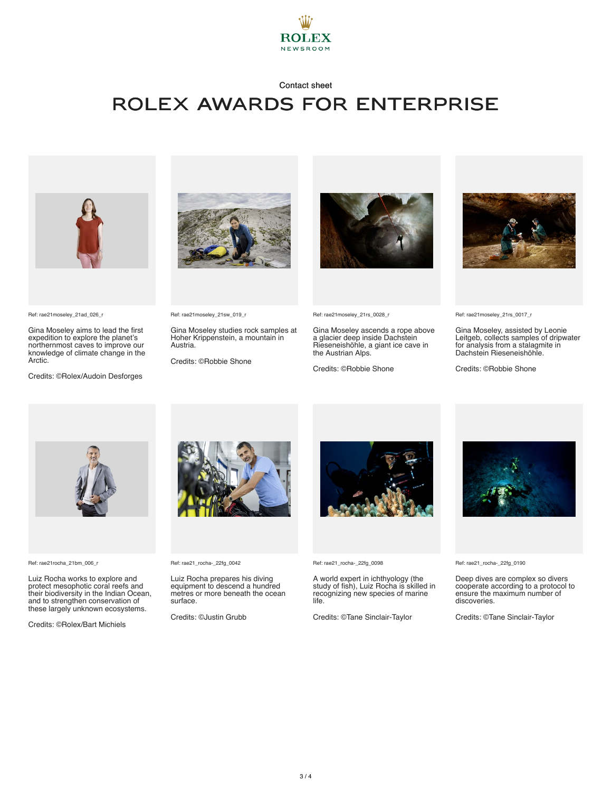

## ROLEX AWARDS FOR ENTERPRISE



Ref: rae21moseley\_21ad\_026\_r

Gina Moseley aims to lead the first expedition to explore the planet's northernmost caves to improve our knowledge of climate change in the Arctic.

Credits: ©Rolex/Audoin Desforges



Ref: rae21moseley\_21sw\_019\_r

Gina Moseley studies rock samples at Hoher Krippenstein, a mountain in Austria.

Credits: ©Robbie Shone



Ref: rae21moseley\_21rs\_0028\_r

Gina Moseley ascends a rope above a glacier deep inside Dachstein Rieseneishöhle, a giant ice cave in the Austrian Alps.

Credits: ©Robbie Shone



Ref: rae21moseley\_21rs\_0017\_r

Gina Moseley, assisted by Leonie Leitgeb, collects samples of dripwater for analysis from a stalagmite in Dachstein Rieseneishöhle.

Credits: ©Robbie Shone



Ref: rae21rocha\_21bm\_006\_r

Luiz Rocha works to explore and protect mesophotic coral reefs and their biodiversity in the Indian Ocean, and to strengthen conservation of these largely unknown ecosystems.

Credits: ©Rolex/Bart Michiels



Ref: rae21\_rocha-\_22fg\_0042

Luiz Rocha prepares his diving equipment to descend a hundred metres or more beneath the ocean surface.

Credits: ©Justin Grubb



Ref: rae21\_rocha-\_22fg\_0098

A world expert in ichthyology (the study of fish), Luiz Rocha is skilled in recognizing new species of marine life.

Credits: ©Tane Sinclair-Taylor



Ref: rae21\_rocha-\_22fg\_0190

Deep dives are complex so divers cooperate according to a protocol to ensure the maximum number of discoveries.

Credits: ©Tane Sinclair-Taylor